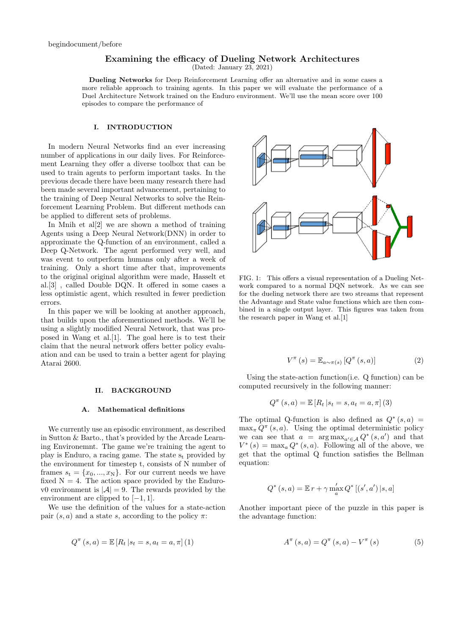# Examining the efficacy of Dueling Network Architectures

(Dated: January 23, 2021)

Dueling Networks for Deep Reinforcement Learning offer an alternative and in some cases a more reliable approach to training agents. In this paper we will evaluate the performance of a Duel Architecture Network trained on the Enduro environment. We'll use the mean score over 100 episodes to compare the performance of

## I. INTRODUCTION

In modern Neural Networks find an ever increasing number of applications in our daily lives. For Reinforcement Learning they offer a diverse toolbox that can be used to train agents to perform important tasks. In the previous decade there have been many research there had been made several important advancement, pertaining to the training of Deep Neural Networks to solve the Reinforcement Learning Problem. But different methods can be applied to different sets of problems.

In Mnih et al $[2]$  we are shown a method of training Agents using a Deep Neural Network(DNN) in order to approximate the Q-function of an environment, called a Deep Q-Network. The agent performed very well, and was event to outperform humans only after a week of training. Only a short time after that, improvements to the original original algorithm were made, Hasselt et al.[3] , called Double DQN. It offered in some cases a less optimistic agent, which resulted in fewer prediction errors.

In this paper we will be looking at another approach, that builds upon the aforementioned methods. We'll be using a slightly modified Neural Network, that was proposed in Wang et al.[1]. The goal here is to test their claim that the neural network offers better policy evaluation and can be used to train a better agent for playing Atarai 2600.

#### II. BACKGROUND

## A. Mathematical definitions

We currently use an episodic environment, as described in Sutton & Barto., that's provided by the Arcade Learning Environemnt. The game we're training the agent to play is Enduro, a racing game. The state  $s_t$  provided by the environment for timestep t, consists of N number of frames  $s_t = \{x_0, ..., x_N\}$ . For our current needs we have fixed  $N = 4$ . The action space provided by the Endurov0 environment is  $|\mathcal{A}| = 9$ . The rewards provided by the environment are clipped to  $[-1, 1]$ .

We use the definition of the values for a state-action pair  $(s, a)$  and a state s, according to the policy  $\pi$ :

$$
Q^{\pi}(s, a) = \mathbb{E}[R_t | s_t = s, a_t = a, \pi] (1)
$$



FIG. 1: This offers a visual representation of a Dueling Network compared to a normal DQN network. As we can see for the dueling network there are two streams that represent the Advantage and State value functions which are then combined in a single output layer. This figures was taken from the research paper in Wang et al.[1]

$$
V^{\pi}\left(s\right) = \mathbb{E}_{a \sim \pi\left(s\right)}\left[Q^{\pi}\left(s, a\right)\right] \tag{2}
$$

Using the state-action function(i.e. Q function) can be computed recursively in the following manner:

$$
Q^{\pi}(s, a) = \mathbb{E}[R_t | s_t = s, a_t = a, \pi]
$$
 (3)

The optimal Q-function is also defined as  $Q^*(s, a)$  $\max_{\pi} Q^{\pi}(s, a)$ . Using the optimal deterministic policy we can see that  $a = \arg \max_{a' \in \mathcal{A}} Q^*(s, a')$  and that  $V^*(s) = \max_a Q^*(s, a)$ . Following all of the above, we get that the optimal Q function satisfies the Bellman equation:

$$
Q^*(s, a) = \mathbb{E} r + \gamma \max_{a}^{'} Q^* [(s', a') | s, a]
$$

Another important piece of the puzzle in this paper is the advantage function:

$$
A^{\pi}\left(s,a\right) = Q^{\pi}\left(s,a\right) - V^{\pi}\left(s\right) \tag{5}
$$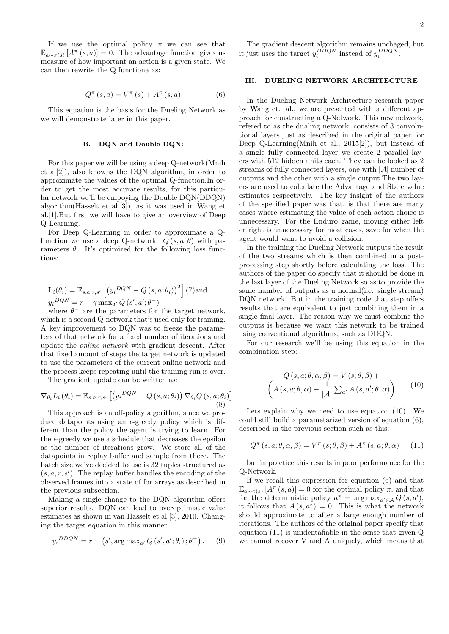If we use the optimal policy  $\pi$  we can see that  $\mathbb{E}_{a \sim \pi(s)} [A^{\pi}(s, a)] = 0$ . The advantage function gives us measure of how important an action is a given state. We can then rewrite the Q functiona as:

$$
Q^{\pi}(s, a) = V^{\pi}(s) + A^{\pi}(s, a)
$$
 (6)

This equation is the basis for the Dueling Network as we will demonstrate later in this paper.

### B. DQN and Double DQN:

For this paper we will be using a deep Q-network(Mnih et al[2]), also knowns the DQN algorithm, in order to approximate the values of the optimal Q-function.In order to get the most accurate results, for this particular network we'll be empoying the Double DQN(DDQN) algorithm(Hasselt et al.[3]), as it was used in Wang et al.[1].But first we will have to give an overview of Deep Q-Learning.

For Deep Q-Learning in order to approximate a Qfunction we use a deep Q-network:  $Q(s, a; \theta)$  with parameters  $\theta$ . It's optimized for the following loss functions:

$$
L_i(\theta_i) = \mathbb{E}_{s,a,r,s'} \left[ \left( y_i^{DQN} - Q\left(s,a;\theta_i\right) \right)^2 \right] (7)
$$
 and 
$$
y_i^{DQN} = r + \gamma \max_{a'} Q\left(s',a';\theta^-\right)
$$

where  $\theta^-$  are the parameters for the target network, which is a second Q-network that's used only for training. A key improvement to DQN was to freeze the parameters of that network for a fixed number of iterations and update the online network with gradient descent. After that fixed amount of steps the target network is updated to use the parameters of the current online network and the process keeps repeating until the training run is over.

The gradient update can be written as:

$$
\nabla_{\theta_i} L_i \left( \theta_i \right) = \mathbb{E}_{s,a,r,s'} \left[ \left( y_i^{DQN} - Q\left(s, a; \theta_i\right) \right) \nabla_{\theta_i} Q\left(s, a; \theta_i\right) \right] \tag{8}
$$

This approach is an off-policy algorithm, since we produce datapoints using an  $\epsilon$ -greedy policy which is different than the policy the agent is trying to learn. For the  $\epsilon$ -greedy we use a schedule that decreases the epsilon as the number of iterations grow. We store all of the datapoints in replay buffer and sample from there. The batch size we've decided to use is 32 tuples structured as  $(s, a, r, s')$ . The replay buffer handles the encoding of the observed frames into a state of for arrays as described in the previous subsection.

Making a single change to the DQN algorithm offers superior results. DQN can lead to overoptimistic value estimates as shown in van Hasselt et al.[3], 2010. Changing the target equation in this manner:

$$
y_i^{DDQN} = r + (s', \arg \max_{a'} Q(s', a'; \theta_i) ; \theta^-).
$$
 (9)

The gradient descent algorithm remains unchaged, but it just uses the target  $y_i^{DDQN}$  instead of  $y_i^{DDQN}$ .

## III. DUELING NETWORK ARCHITECTURE

In the Dueling Network Architecture research paper by Wang et. al., we are presented with a different approach for constructing a Q-Network. This new network, refered to as the dualing network, consists of 3 convolutional layers just as described in the original paper for Deep Q-Learning(Mnih et al., 2015[2]), but instead of a single fully connected layer we create 2 parallel layers with 512 hidden units each. They can be looked as 2 streams of fully connected layers, one with  $|\mathcal{A}|$  number of outputs and the other with a single output.The two layers are used to calculate the Advantage and State value estimates respectively. The key insight of the authors of the specified paper was that, is that there are many cases where estimating the value of each action choice is unnecessary. For the Enduro game, moving either left or right is unnecessary for most cases, save for when the agent would want to avoid a collision.

In the training the Dueling Network outputs the result of the two streams which is then combined in a postprocessing step shortly before calculating the loss. The authors of the paper do specify that it should be done in the last layer of the Dueling Network so as to provide the same number of outputs as a normal(i.e. single stream) DQN network. But in the training code that step offers results that are equivalent to just combining them in a single final layer. The reason why we must combine the outputs is because we want this network to be trained using conventional algorithms, such as DDQN.

For our research we'll be using this equation in the combination step:

$$
Q(s, a; \theta, \alpha, \beta) = V(s; \theta, \beta) +
$$

$$
\left(A(s, a; \theta, \alpha) - \frac{1}{|\mathcal{A}|} \sum_{a'} A(s, a'; \theta, \alpha)\right)
$$
(10)

Lets explain why we need to use equation (10). We could still build a parametarized version of equation (6), described in the previous section such as this:

$$
Q^{\pi}\left(s, a; \theta, \alpha, \beta\right) = V^{\pi}\left(s; \theta, \beta\right) + A^{\pi}\left(s, a; \theta, \alpha\right) \tag{11}
$$

but in practice this results in poor performance for the Q-Network.

If we recall this expression for equation (6) and that  $\mathbb{E}_{a\sim\pi(s)}\left[A^{\pi}(s,a)\right]=0$  for the optimal policy  $\pi$ , and that for the deterministic policy  $a^* = \arg \max_{a' \in \mathcal{A}} Q(s, a'),$ it follows that  $A(s, a^*) = 0$ . This is what the network should approximate to after a large enough number of iterations. The authors of the original paper specify that equation (11) is unidentafiable in the sense that given Q we cannot recover V and A uniquely, which means that